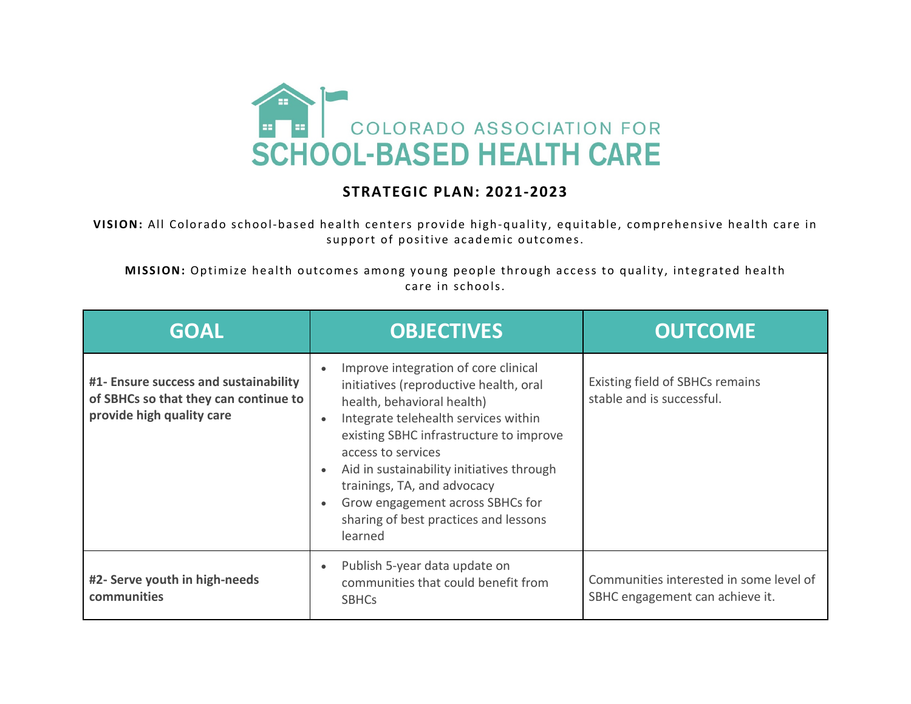

## **STRATEGIC PLAN: 2021-2023**

**VISION:** All Colorado school-based health centers provide high-quality, equitable, comprehensive health care in support of positive academic outcomes.

**MISSION:** Optimize health outcomes among young people through access to quality, integrated health care in schools.

| <b>GOAL</b>                                                                                                 | <b>OBJECTIVES</b>                                                                                                                                                                                                                                                                                                                                                                         | <b>OUTCOME</b>                                                             |
|-------------------------------------------------------------------------------------------------------------|-------------------------------------------------------------------------------------------------------------------------------------------------------------------------------------------------------------------------------------------------------------------------------------------------------------------------------------------------------------------------------------------|----------------------------------------------------------------------------|
| #1- Ensure success and sustainability<br>of SBHCs so that they can continue to<br>provide high quality care | Improve integration of core clinical<br>initiatives (reproductive health, oral<br>health, behavioral health)<br>Integrate telehealth services within<br>existing SBHC infrastructure to improve<br>access to services<br>Aid in sustainability initiatives through<br>trainings, TA, and advocacy<br>Grow engagement across SBHCs for<br>sharing of best practices and lessons<br>learned | Existing field of SBHCs remains<br>stable and is successful.               |
| #2- Serve youth in high-needs<br>communities                                                                | Publish 5-year data update on<br>communities that could benefit from<br><b>SBHCs</b>                                                                                                                                                                                                                                                                                                      | Communities interested in some level of<br>SBHC engagement can achieve it. |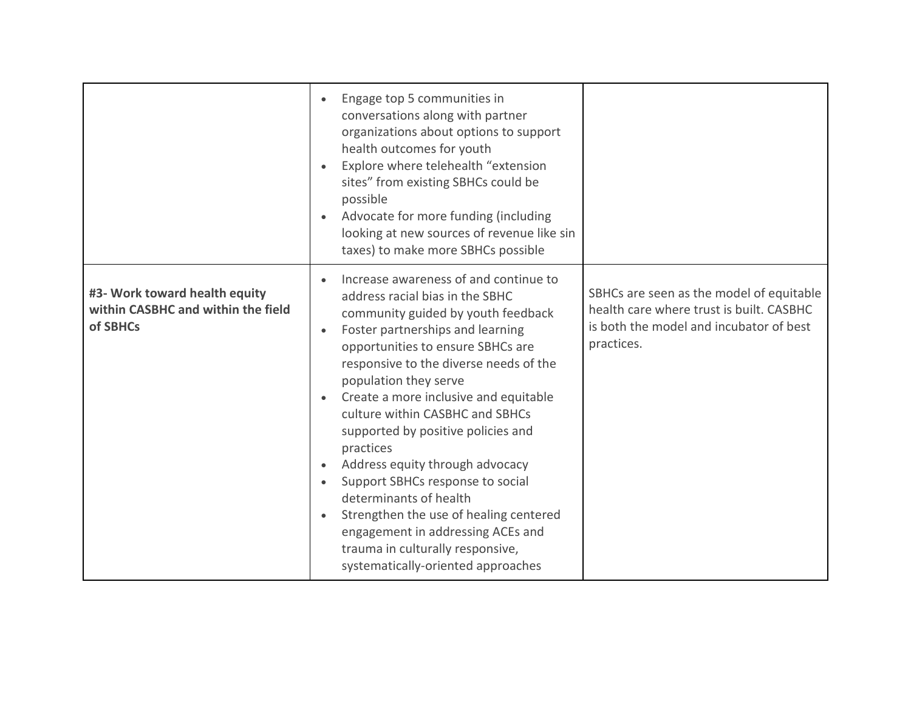|                                                                                 | Engage top 5 communities in<br>conversations along with partner<br>organizations about options to support<br>health outcomes for youth<br>Explore where telehealth "extension<br>sites" from existing SBHCs could be<br>possible<br>Advocate for more funding (including<br>looking at new sources of revenue like sin<br>taxes) to make more SBHCs possible                                                                                                                                                                                                                                                                                                     |                                                                                                                                               |
|---------------------------------------------------------------------------------|------------------------------------------------------------------------------------------------------------------------------------------------------------------------------------------------------------------------------------------------------------------------------------------------------------------------------------------------------------------------------------------------------------------------------------------------------------------------------------------------------------------------------------------------------------------------------------------------------------------------------------------------------------------|-----------------------------------------------------------------------------------------------------------------------------------------------|
| #3- Work toward health equity<br>within CASBHC and within the field<br>of SBHCs | Increase awareness of and continue to<br>address racial bias in the SBHC<br>community guided by youth feedback<br>Foster partnerships and learning<br>opportunities to ensure SBHCs are<br>responsive to the diverse needs of the<br>population they serve<br>Create a more inclusive and equitable<br>culture within CASBHC and SBHCs<br>supported by positive policies and<br>practices<br>Address equity through advocacy<br>Support SBHCs response to social<br>determinants of health<br>Strengthen the use of healing centered<br>$\bullet$<br>engagement in addressing ACEs and<br>trauma in culturally responsive,<br>systematically-oriented approaches | SBHCs are seen as the model of equitable<br>health care where trust is built. CASBHC<br>is both the model and incubator of best<br>practices. |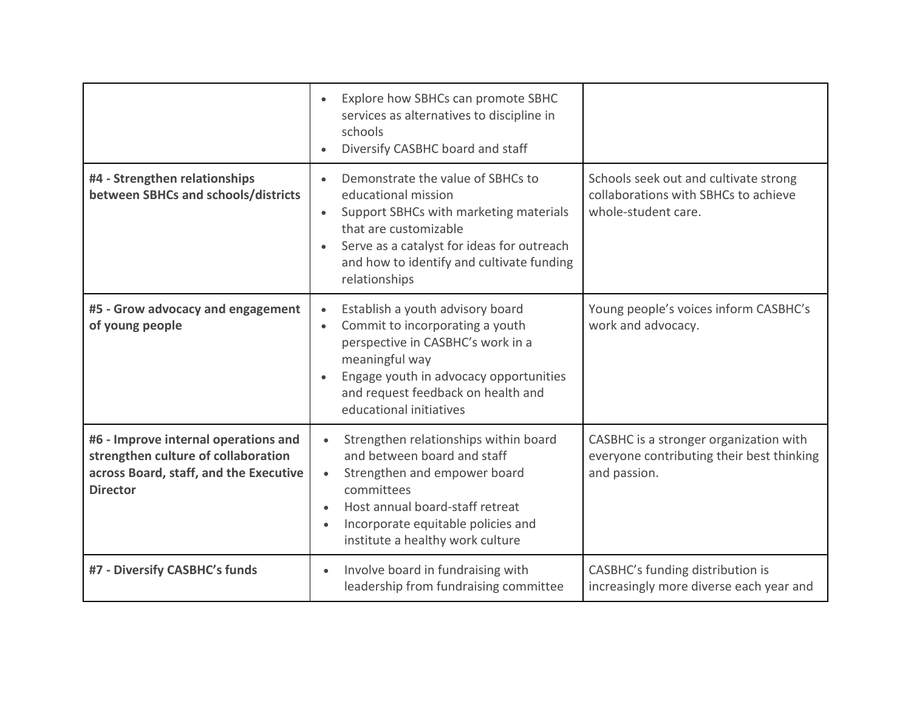|                                                                                                                                          | Explore how SBHCs can promote SBHC<br>$\bullet$<br>services as alternatives to discipline in<br>schools<br>Diversify CASBHC board and staff<br>$\bullet$                                                                                                                            |                                                                                                      |
|------------------------------------------------------------------------------------------------------------------------------------------|-------------------------------------------------------------------------------------------------------------------------------------------------------------------------------------------------------------------------------------------------------------------------------------|------------------------------------------------------------------------------------------------------|
| #4 - Strengthen relationships<br>between SBHCs and schools/districts                                                                     | Demonstrate the value of SBHCs to<br>educational mission<br>Support SBHCs with marketing materials<br>$\bullet$<br>that are customizable<br>Serve as a catalyst for ideas for outreach<br>$\bullet$<br>and how to identify and cultivate funding<br>relationships                   | Schools seek out and cultivate strong<br>collaborations with SBHCs to achieve<br>whole-student care. |
| #5 - Grow advocacy and engagement<br>of young people                                                                                     | Establish a youth advisory board<br>$\bullet$<br>Commit to incorporating a youth<br>$\bullet$<br>perspective in CASBHC's work in a<br>meaningful way<br>Engage youth in advocacy opportunities<br>$\bullet$<br>and request feedback on health and<br>educational initiatives        | Young people's voices inform CASBHC's<br>work and advocacy.                                          |
| #6 - Improve internal operations and<br>strengthen culture of collaboration<br>across Board, staff, and the Executive<br><b>Director</b> | Strengthen relationships within board<br>$\bullet$<br>and between board and staff<br>Strengthen and empower board<br>$\bullet$<br>committees<br>Host annual board-staff retreat<br>$\bullet$<br>Incorporate equitable policies and<br>$\bullet$<br>institute a healthy work culture | CASBHC is a stronger organization with<br>everyone contributing their best thinking<br>and passion.  |
| #7 - Diversify CASBHC's funds                                                                                                            | Involve board in fundraising with<br>$\bullet$<br>leadership from fundraising committee                                                                                                                                                                                             | CASBHC's funding distribution is<br>increasingly more diverse each year and                          |